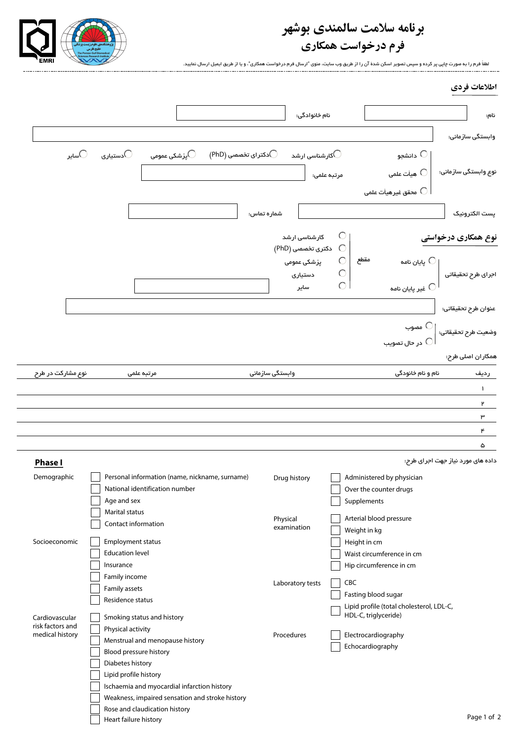## **برنامه سلامت سالمندى بوشهر**



**فرم درخواست همكارى**

لطفاً فرم را به صورت چاپى پر كرده و سپس تصوير اسكن شدة آن را از طريق وب سايت، منوى "ارسال فرم درخواست همكارى"، و يا از طريق ايميل ارسال نماييد.

|                                                                                                         |                          |                                                                                  |                               | نام خانوادگی:                           |                                                                 | نام:                              |
|---------------------------------------------------------------------------------------------------------|--------------------------|----------------------------------------------------------------------------------|-------------------------------|-----------------------------------------|-----------------------------------------------------------------|-----------------------------------|
|                                                                                                         |                          |                                                                                  |                               |                                         |                                                                 | وابستگی ساز مانی:                 |
| ⊖سایر                                                                                                   | دستيارى $\bigcirc$       | پزشکی عمومی $\bigcirc$                                                           | $\bigcirc$ دکترای تخصصی (PhD) | کارشناسی ارشد $\bigcirc$                | دانشجو $\,\bigcirc$                                             |                                   |
|                                                                                                         |                          |                                                                                  |                               | مرتبه علمى:                             | هيأت علمى $\bigcirc$                                            | نوع وابستگی سازمانی:              |
|                                                                                                         |                          |                                                                                  |                               |                                         | محقق غیر هیأت علمی $\,\mathbb{C}$                               |                                   |
|                                                                                                         |                          |                                                                                  | شماره تماس:                   |                                         |                                                                 | يست الكترونيک                     |
|                                                                                                         |                          |                                                                                  |                               | $\circ$<br>کارشناسی ارشد                |                                                                 | نوع همکاری درخواستی               |
|                                                                                                         |                          |                                                                                  | پزشکی عمومی                   | $\circ$<br>دکتری تخصصی (PhD)<br>$\circ$ | مقطع<br>پایان نامه $\,\mathbb{C}$                               |                                   |
|                                                                                                         |                          |                                                                                  | دستيارى                       | $\bigcirc$                              |                                                                 | اجرای طرح تحقیقاتی                |
|                                                                                                         |                          |                                                                                  |                               | $\circ$<br>ساير                         | غیر پایان نامه $\, \mathbb{C} \,$                               |                                   |
|                                                                                                         |                          |                                                                                  |                               |                                         |                                                                 | عنوان طرح تحقيقاتى:               |
|                                                                                                         |                          |                                                                                  |                               |                                         | ∪ مصوب                                                          | وضعيت طرح تحقيقاتى:               |
|                                                                                                         |                          |                                                                                  |                               |                                         | در حال تصويب $\bigcirc$                                         | همکار ان اصلی طرح:                |
|                                                                                                         |                          |                                                                                  |                               |                                         |                                                                 |                                   |
| نوع مشارکت در طرح                                                                                       |                          | مرتبه علمى                                                                       | وابستگی سازمانی               |                                         | نام و نام خانودگی                                               | رديف                              |
|                                                                                                         |                          |                                                                                  |                               |                                         |                                                                 | $\mathbf{I}$                      |
|                                                                                                         |                          |                                                                                  |                               |                                         |                                                                 | ۲                                 |
|                                                                                                         |                          |                                                                                  |                               |                                         |                                                                 | ۳                                 |
|                                                                                                         |                          |                                                                                  |                               |                                         |                                                                 |                                   |
|                                                                                                         |                          |                                                                                  |                               |                                         |                                                                 | ۴                                 |
|                                                                                                         |                          |                                                                                  |                               |                                         |                                                                 | ۵                                 |
|                                                                                                         |                          |                                                                                  |                               |                                         |                                                                 |                                   |
|                                                                                                         |                          | Personal information (name, nickname, surname)                                   | Drug history                  |                                         | Administered by physician                                       | داده های مورد نیاز جهت اجرای طرح: |
|                                                                                                         |                          | National identification number                                                   |                               |                                         | Over the counter drugs                                          |                                   |
|                                                                                                         | Age and sex              |                                                                                  |                               |                                         | Supplements                                                     |                                   |
|                                                                                                         | Marital status           |                                                                                  |                               |                                         |                                                                 |                                   |
|                                                                                                         | Contact information      |                                                                                  | Physical                      |                                         | Arterial blood pressure                                         |                                   |
|                                                                                                         |                          |                                                                                  | examination                   |                                         | Weight in kg                                                    |                                   |
|                                                                                                         | <b>Employment status</b> |                                                                                  |                               |                                         | Height in cm                                                    |                                   |
|                                                                                                         | <b>Education level</b>   |                                                                                  |                               |                                         | Waist circumference in cm                                       |                                   |
|                                                                                                         | Insurance                |                                                                                  |                               |                                         | Hip circumference in cm                                         |                                   |
|                                                                                                         | Family income            |                                                                                  |                               |                                         |                                                                 |                                   |
|                                                                                                         | Family assets            |                                                                                  | Laboratory tests              |                                         | CBC                                                             |                                   |
|                                                                                                         | Residence status         |                                                                                  |                               |                                         | Fasting blood sugar<br>Lipid profile (total cholesterol, LDL-C, |                                   |
|                                                                                                         |                          | Smoking status and history                                                       |                               |                                         | HDL-C, triglyceride)                                            |                                   |
|                                                                                                         | Physical activity        |                                                                                  | Procedures                    |                                         | Electrocardiography                                             |                                   |
|                                                                                                         |                          | Menstrual and menopause history                                                  |                               |                                         | Echocardiography                                                |                                   |
|                                                                                                         | Blood pressure history   |                                                                                  |                               |                                         |                                                                 |                                   |
|                                                                                                         | Diabetes history         |                                                                                  |                               |                                         |                                                                 |                                   |
|                                                                                                         | Lipid profile history    |                                                                                  |                               |                                         |                                                                 |                                   |
|                                                                                                         |                          | Ischaemia and myocardial infarction history                                      |                               |                                         |                                                                 |                                   |
| <b>Phase I</b><br>Demographic<br>Socioeconomic<br>Cardiovascular<br>risk factors and<br>medical history |                          | Weakness, impaired sensation and stroke history<br>Rose and claudication history |                               |                                         |                                                                 |                                   |